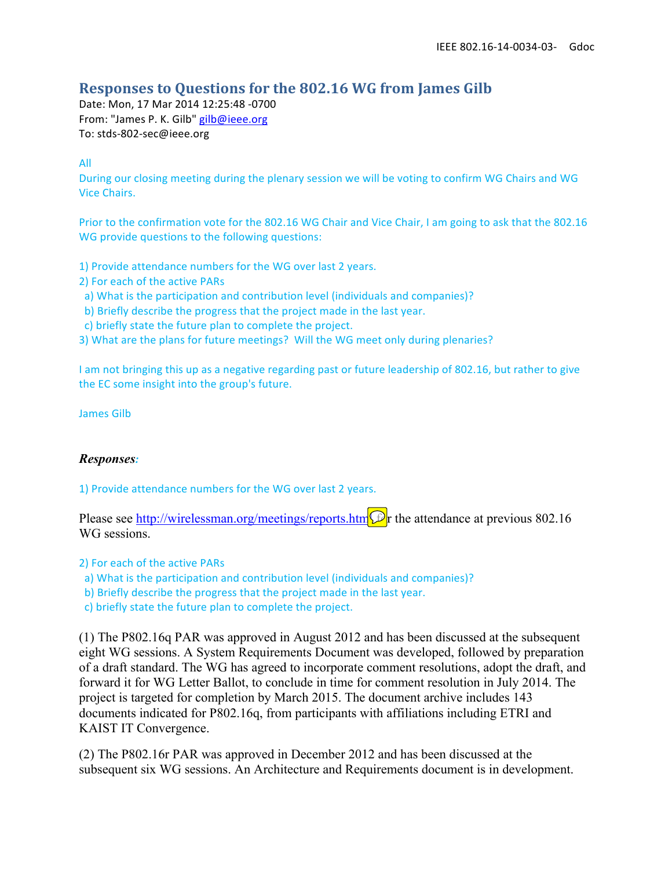### **Responses to Questions for the 802.16 WG from James Gilb**

Date: Mon, 17 Mar 2014 12:25:48 -0700 From: "James P. K. Gilb" gilb@ieee.org To: stds-802-sec@ieee.org

All

During our closing meeting during the plenary session we will be voting to confirm WG Chairs and WG Vice Chairs.

Prior to the confirmation vote for the 802.16 WG Chair and Vice Chair, I am going to ask that the 802.16 WG provide questions to the following questions:

1) Provide attendance numbers for the WG over last 2 years.

- 2) For each of the active PARs
- a) What is the participation and contribution level (individuals and companies)?
- b) Briefly describe the progress that the project made in the last year.
- c) briefly state the future plan to complete the project.

3) What are the plans for future meetings? Will the WG meet only during plenaries?

I am not bringing this up as a negative regarding past or future leadership of 802.16, but rather to give the EC some insight into the group's future.

James Gilb

#### *Responses:*

1) Provide attendance numbers for the WG over last 2 years.

Please see http://wirelessman.org/meetings/reports.htm $\mathcal{D}$ r the attendance at previous 802.16 WG sessions.

2) For each of the active PARs

- a) What is the participation and contribution level (individuals and companies)?
- b) Briefly describe the progress that the project made in the last year.

c) briefly state the future plan to complete the project.

(1) The P802.16q PAR was approved in August 2012 and has been discussed at the subsequent eight WG sessions. A System Requirements Document was developed, followed by preparation of a draft standard. The WG has agreed to incorporate comment resolutions, adopt the draft, and forward it for WG Letter Ballot, to conclude in time for comment resolution in July 2014. The project is targeted for completion by March 2015. The document archive includes 143 documents indicated for P802.16q, from participants with affiliations including ETRI and KAIST IT Convergence.

(2) The P802.16r PAR was approved in December 2012 and has been discussed at the subsequent six WG sessions. An Architecture and Requirements document is in development.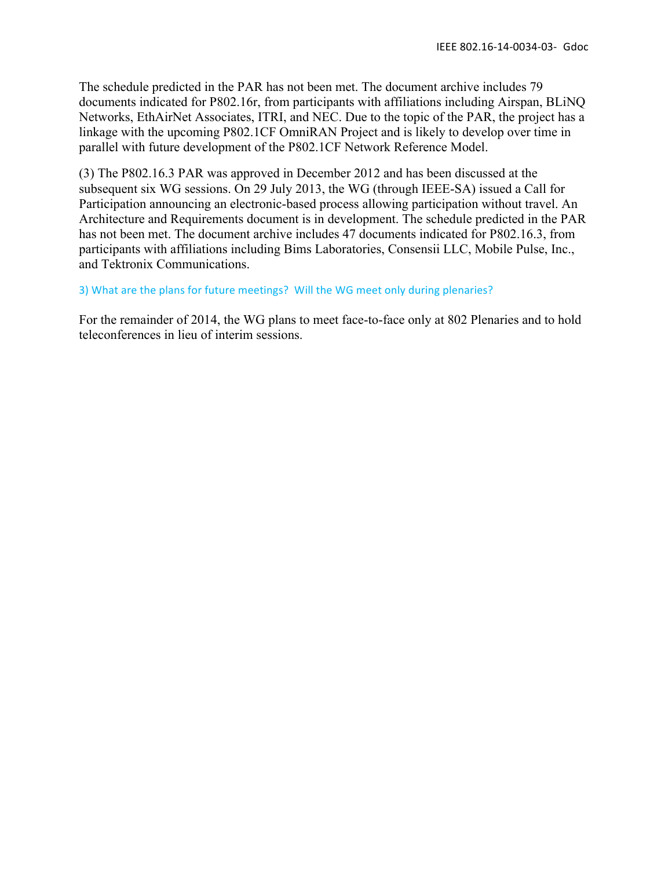The schedule predicted in the PAR has not been met. The document archive includes 79 documents indicated for P802.16r, from participants with affiliations including Airspan, BLiNQ Networks, EthAirNet Associates, ITRI, and NEC. Due to the topic of the PAR, the project has a linkage with the upcoming P802.1CF OmniRAN Project and is likely to develop over time in parallel with future development of the P802.1CF Network Reference Model.

(3) The P802.16.3 PAR was approved in December 2012 and has been discussed at the subsequent six WG sessions. On 29 July 2013, the WG (through IEEE-SA) issued a Call for Participation announcing an electronic-based process allowing participation without travel. An Architecture and Requirements document is in development. The schedule predicted in the PAR has not been met. The document archive includes 47 documents indicated for P802.16.3, from participants with affiliations including Bims Laboratories, Consensii LLC, Mobile Pulse, Inc., and Tektronix Communications.

#### 3) What are the plans for future meetings? Will the WG meet only during plenaries?

For the remainder of 2014, the WG plans to meet face-to-face only at 802 Plenaries and to hold teleconferences in lieu of interim sessions.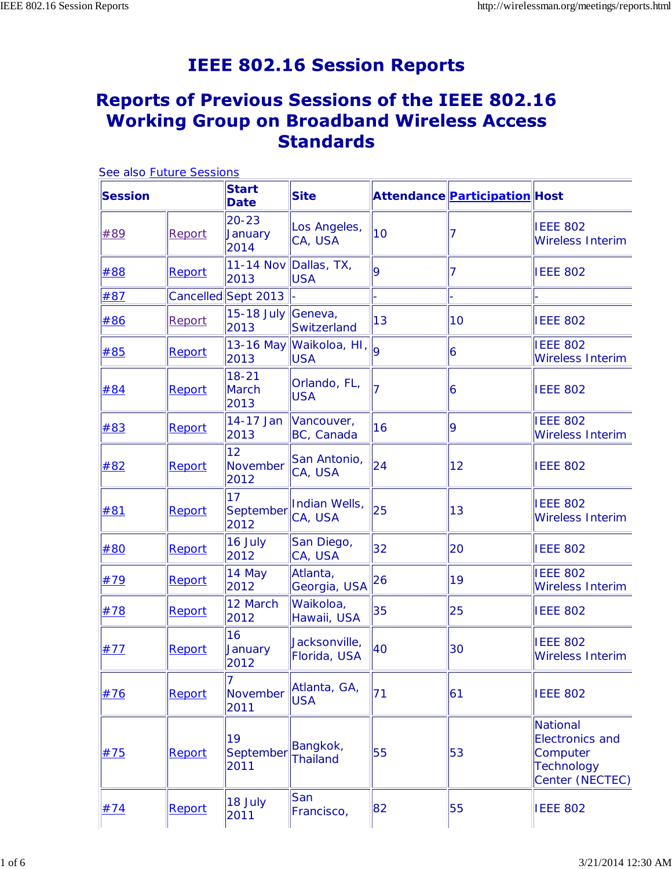# **IEEE 802.16 Session Reports**

## **Reports of Previous Sessions of the IEEE 802.16 Working Group on Broadband Wireless Access Standards**

|                | See also Future Sessions |                                   |                                         |                |                               |                                                                                               |
|----------------|--------------------------|-----------------------------------|-----------------------------------------|----------------|-------------------------------|-----------------------------------------------------------------------------------------------|
| <b>Session</b> |                          | <b>Start</b><br><b>Date</b>       | <b>Site</b>                             |                | Attendance Participation Host |                                                                                               |
| #89            | Report                   | $20 - 23$<br>January<br>2014      | Los Angeles,<br>CA, USA                 | 10             |                               | <b>IEEE 802</b><br>Wireless Interim                                                           |
| #88            | Report                   | 2013                              | 11-14 Nov Dallas, TX,<br><b>USA</b>     | 9              |                               | <b>IEEE 802</b>                                                                               |
| #87            |                          | Cancelled Sept 2013               |                                         |                |                               |                                                                                               |
| #86            | Report                   | 15-18 July<br>2013                | Geneva,<br>Switzerland                  | 13             | 10                            | <b>IEEE 802</b>                                                                               |
| #85            | Report                   | 2013                              | 13-16 May Waikoloa, HI, o<br><b>USA</b> |                | 6                             | <b>IEEE 802</b><br><b>Wireless Interim</b>                                                    |
| #84            | Report                   | $18 - 21$<br><b>March</b><br>2013 | Orlando, FL,<br><b>USA</b>              | $\overline{7}$ | 6                             | <b>IEEE 802</b>                                                                               |
| #83            | Report                   | 14-17 Jan<br>2013                 | Vancouver,<br>BC, Canada                | 16             | 9                             | <b>IEEE 802</b><br><b>Wireless Interim</b>                                                    |
| #82            | Report                   | 12<br>November<br>2012            | San Antonio,<br>CA, USA                 | 24             | 12                            | <b>IEEE 802</b>                                                                               |
| #81            | Report                   | 17<br>September<br>2012           | Indian Wells,<br>CA, USA                | 25             | 13                            | <b>IEEE 802</b><br><b>Wireless Interim</b>                                                    |
| #80            | Report                   | 16 July<br>2012                   | San Diego,<br>CA, USA                   | 32             | 20                            | <b>IEEE 802</b>                                                                               |
| #79            | Report                   | 14 May<br>2012                    | Atlanta,<br>Georgia, USA                | 26             | 19                            | <b>IEEE 802</b><br><b>Wireless Interim</b>                                                    |
| #78            | Report                   | 12 March<br>2012                  | Waikoloa,<br>Hawaii, USA                | 35             | 25                            | <b>IEEE 802</b>                                                                               |
| #77            | Report                   | 16<br>January<br>2012             | Jacksonville,<br>Florida, USA           | 40             | 30                            | <b>IEEE 802</b><br><b>Wireless Interim</b>                                                    |
| #76            | Report                   | November<br>2011                  | Atlanta, GA,<br><b>USA</b>              | 71             | 61                            | <b>IEEE 802</b>                                                                               |
| #75            | Report                   | 19<br>September<br>2011           | Bangkok,<br><b>Thailand</b>             | 55             | 53                            | <b>National</b><br><b>Electronics and</b><br>Computer<br><b>Technology</b><br>Center (NECTEC) |
| #74            | Report                   | 18 July<br>2011                   | San<br>Francisco,                       | 82             | 55                            | <b>IEEE 802</b>                                                                               |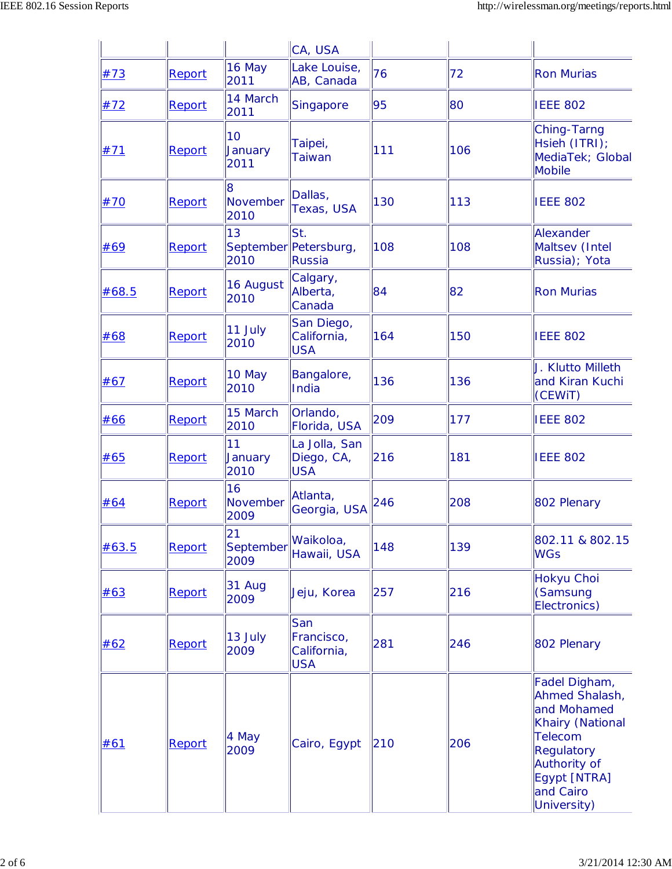|       |        |                         | CA, USA                                        |     |     |                                                                                                                                                                |
|-------|--------|-------------------------|------------------------------------------------|-----|-----|----------------------------------------------------------------------------------------------------------------------------------------------------------------|
| #73   | Report | 16 May<br>2011          | Lake Louise,<br>AB, Canada                     | 76  | 72  | <b>Ron Murias</b>                                                                                                                                              |
| #72   | Report | 14 March<br>2011        | Singapore                                      | 95  | 80  | <b>IEEE 802</b>                                                                                                                                                |
| #71   | Report | 10<br>January<br>2011   | Taipei,<br><b>Taiwan</b>                       | 111 | 106 | Ching-Tarng<br>Hsieh (ITRI);<br>MediaTek; Global<br><b>Mobile</b>                                                                                              |
| #70   | Report | 8<br>November<br>2010   | Dallas,<br>Texas, USA                          | 130 | 113 | <b>IEEE 802</b>                                                                                                                                                |
| #69   | Report | 13<br>2010              | St.<br>September Petersburg,<br>Russia         | 108 | 108 | Alexander<br>Maltsev (Intel<br>Russia); Yota                                                                                                                   |
| #68.5 | Report | 16 August<br>2010       | Calgary,<br>Alberta,<br>Canada                 | 84  | 82  | <b>Ron Murias</b>                                                                                                                                              |
| #68   | Report | 11 July<br>2010         | San Diego,<br>California,<br><b>USA</b>        | 164 | 150 | <b>IEEE 802</b>                                                                                                                                                |
| #67   | Report | 10 May<br>2010          | Bangalore,<br>India                            | 136 | 136 | J. Klutto Milleth<br>and Kiran Kuchi<br>(CEWIT)                                                                                                                |
| #66   | Report | 15 March<br>2010        | Orlando,<br>Florida, USA                       | 209 | 177 | <b>IEEE 802</b>                                                                                                                                                |
| #65   | Report | 11<br>January<br>2010   | La Jolla, San<br>Diego, CA,<br><b>USA</b>      | 216 | 181 | <b>IEEE 802</b>                                                                                                                                                |
| #64   | Report | 16<br>November<br>2009  | Atlanta,<br>Georgia, USA                       | 246 | 208 | 802 Plenary                                                                                                                                                    |
| #63.5 | Report | 21<br>September<br>2009 | Waikoloa,<br>Hawaii, USA                       | 148 | 139 | 802.11 & 802.15<br><b>WGs</b>                                                                                                                                  |
| #63   | Report | 31 Aug<br>2009          | Jeju, Korea                                    | 257 | 216 | Hokyu Choi<br>(Samsung<br>Electronics)                                                                                                                         |
| #62   | Report | 13 July<br>2009         | San<br>Francisco,<br>California,<br><b>USA</b> | 281 | 246 | 802 Plenary                                                                                                                                                    |
| #61   | Report | 4 May<br>2009           | Cairo, Egypt                                   | 210 | 206 | Fadel Digham,<br>Ahmed Shalash,<br>and Mohamed<br><b>Khairy (National</b><br>Telecom<br>Regulatory<br>Authority of<br>Egypt [NTRA]<br>and Cairo<br>University) |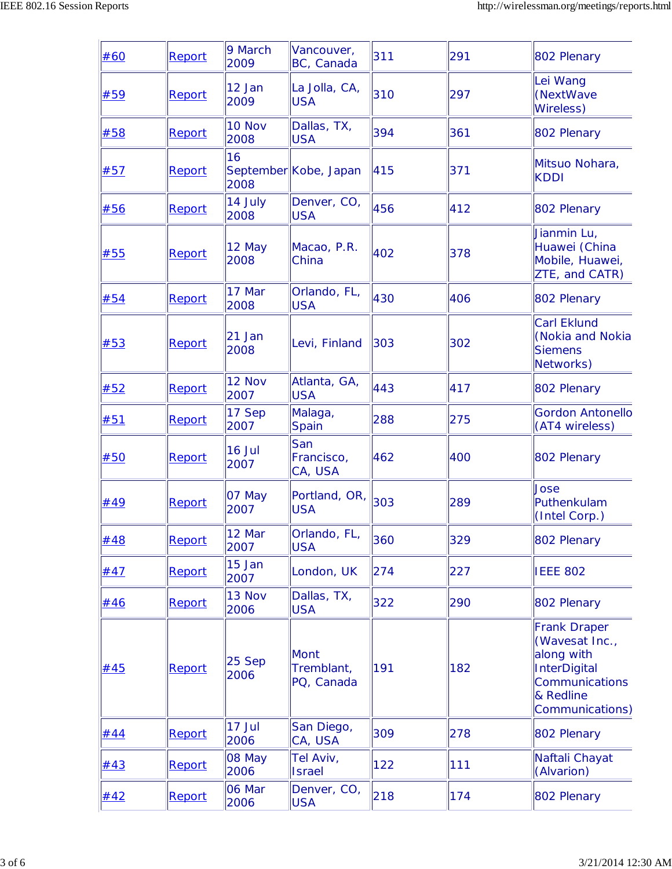| #60 | Report | 9 March<br>2009       | Vancouver,<br>BC, Canada                | 311 | 291 | 802 Plenary                                                                                                                  |
|-----|--------|-----------------------|-----------------------------------------|-----|-----|------------------------------------------------------------------------------------------------------------------------------|
| #59 | Report | $12$ Jan<br>2009      | La Jolla, CA,<br><b>USA</b>             | 310 | 297 | Lei Wang<br>(NextWave<br><b>Wireless)</b>                                                                                    |
| #58 | Report | 10 Nov<br>2008        | Dallas, TX,<br><b>USA</b>               | 394 | 361 | 802 Plenary                                                                                                                  |
| #57 | Report | 16<br>2008            | September Kobe, Japan                   | 415 | 371 | Mitsuo Nohara,<br><b>KDDI</b>                                                                                                |
| #56 | Report | 14 July<br>2008       | Denver, CO,<br><b>USA</b>               | 456 | 412 | 802 Plenary                                                                                                                  |
| #55 | Report | 12 May<br>2008        | Macao, P.R.<br>China                    | 402 | 378 | Jianmin Lu,<br>Huawei (China<br>Mobile, Huawei,<br>ZTE, and CATR)                                                            |
| #54 | Report | 17 Mar<br>2008        | Orlando, FL,<br><b>USA</b>              | 430 | 406 | 802 Plenary                                                                                                                  |
| #53 | Report | $21$ Jan<br>2008      | Levi, Finland                           | 303 | 302 | <b>Carl Eklund</b><br>(Nokia and Nokia<br><b>Siemens</b><br>Networks)                                                        |
| #52 | Report | <b>12 Nov</b><br>2007 | Atlanta, GA,<br><b>USA</b>              | 443 | 417 | 802 Plenary                                                                                                                  |
| #51 | Report | 17 Sep<br>2007        | Malaga,<br>Spain                        | 288 | 275 | <b>Gordon Antonello</b><br>(AT4 wireless)                                                                                    |
| #50 | Report | $16$ Jul<br>2007      | San<br>Francisco,<br>CA, USA            | 462 | 400 | 802 Plenary                                                                                                                  |
| #49 | Report | 07 May<br>2007        | Portland, OR,<br><b>USA</b>             | 303 | 289 | Jose<br>Puthenkulam<br>(Intel Corp.)                                                                                         |
| #48 | Report | 12 Mar<br>2007        | Orlando, FL,<br><b>USA</b>              | 360 | 329 | 802 Plenary                                                                                                                  |
| #47 | Report | $15$ Jan<br>2007      | London, UK                              | 274 | 227 | <b>IEEE 802</b>                                                                                                              |
| #46 | Report | 13 Nov<br>2006        | Dallas, TX,<br><b>USA</b>               | 322 | 290 | 802 Plenary                                                                                                                  |
| #45 | Report | 25 Sep<br>2006        | <b>Mont</b><br>Tremblant,<br>PQ, Canada | 191 | 182 | <b>Frank Draper</b><br>(Wavesat Inc.,<br>along with<br><b>InterDigital</b><br>Communications<br>& Redline<br>Communications) |
| #44 | Report | 17 Jul<br>2006        | San Diego,<br>CA, USA                   | 309 | 278 | 802 Plenary                                                                                                                  |
| #43 | Report | 08 May<br>2006        | Tel Aviv,<br><b>Israel</b>              | 122 | 111 | Naftali Chayat<br>(Alvarion)                                                                                                 |
| #42 | Report | 06 Mar<br>2006        | Denver, CO,<br><b>USA</b>               | 218 | 174 | 802 Plenary                                                                                                                  |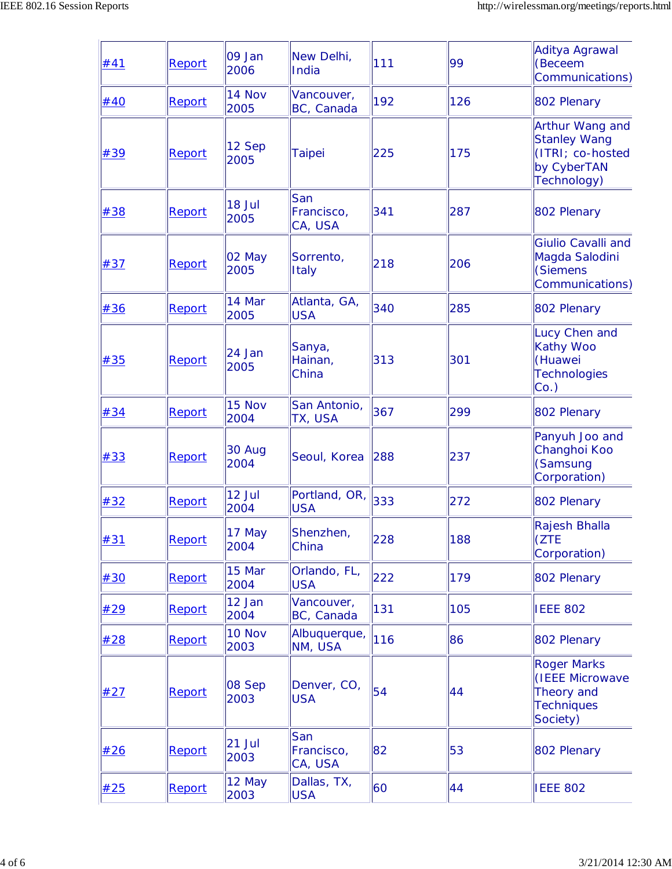| #41 | Report | 09 Jan<br>2006   | New Delhi,<br>India          | 111 | 99  | Aditya Agrawal<br>(Beceem<br>Communications)                                             |
|-----|--------|------------------|------------------------------|-----|-----|------------------------------------------------------------------------------------------|
| #40 | Report | 14 Nov<br>2005   | Vancouver,<br>BC, Canada     | 192 | 126 | 802 Plenary                                                                              |
| #39 | Report | 12 Sep<br>2005   | <b>Taipei</b>                | 225 | 175 | Arthur Wang and<br><b>Stanley Wang</b><br>(ITRI; co-hosted<br>by CyberTAN<br>Technology) |
| #38 | Report | 18 Jul<br>2005   | San<br>Francisco,<br>CA, USA | 341 | 287 | 802 Plenary                                                                              |
| #37 | Report | $02$ May<br>2005 | Sorrento,<br>Italy           | 218 | 206 | <b>Giulio Cavalli and</b><br>Magda Salodini<br>(Siemens<br>Communications)               |
| #36 | Report | 14 Mar<br>2005   | Atlanta, GA,<br><b>USA</b>   | 340 | 285 | 802 Plenary                                                                              |
| #35 | Report | 24 Jan<br>2005   | Sanya,<br>Hainan,<br>China   | 313 | 301 | Lucy Chen and<br><b>Kathy Woo</b><br>(Huawei<br><b>Technologies</b><br>$Co.$ )           |
| #34 | Report | 15 Nov<br>2004   | San Antonio,<br>TX, USA      | 367 | 299 | 802 Plenary                                                                              |
| #33 | Report | 30 Aug<br>2004   | Seoul, Korea                 | 288 | 237 | Panyuh Joo and<br>Changhoi Koo<br>(Samsung<br>Corporation)                               |
| #32 | Report | 12 Jul<br>2004   | Portland, OR,<br><b>USA</b>  | 333 | 272 | 802 Plenary                                                                              |
| #31 | Report | 17 May<br>2004   | Shenzhen,<br>China           | 228 | 188 | Rajesh Bhalla<br>(ZTE<br>Corporation)                                                    |
| #30 | Report | 15 Mar<br>2004   | Orlando, FL,<br><b>USA</b>   | 222 | 179 | 802 Plenary                                                                              |
| #29 | Report | 12 Jan<br>2004   | Vancouver,<br>BC, Canada     | 131 | 105 | <b>IEEE 802</b>                                                                          |
| #28 | Report | 10 Nov<br>2003   | Albuquerque,<br>NM, USA      | 116 | 86  | 802 Plenary                                                                              |
| #27 | Report | 08 Sep<br>2003   | Denver, CO,<br><b>USA</b>    | 54  | 44  | <b>Roger Marks</b><br>(IEEE Microwave<br>Theory and<br><b>Techniques</b><br>Society)     |
| #26 | Report | 21 Jul<br>2003   | San<br>Francisco,<br>CA, USA | 82  | 53  | 802 Plenary                                                                              |
| #25 | Report | 12 May<br>2003   | Dallas, TX,<br><b>USA</b>    | 60  | 44  | <b>IEEE 802</b>                                                                          |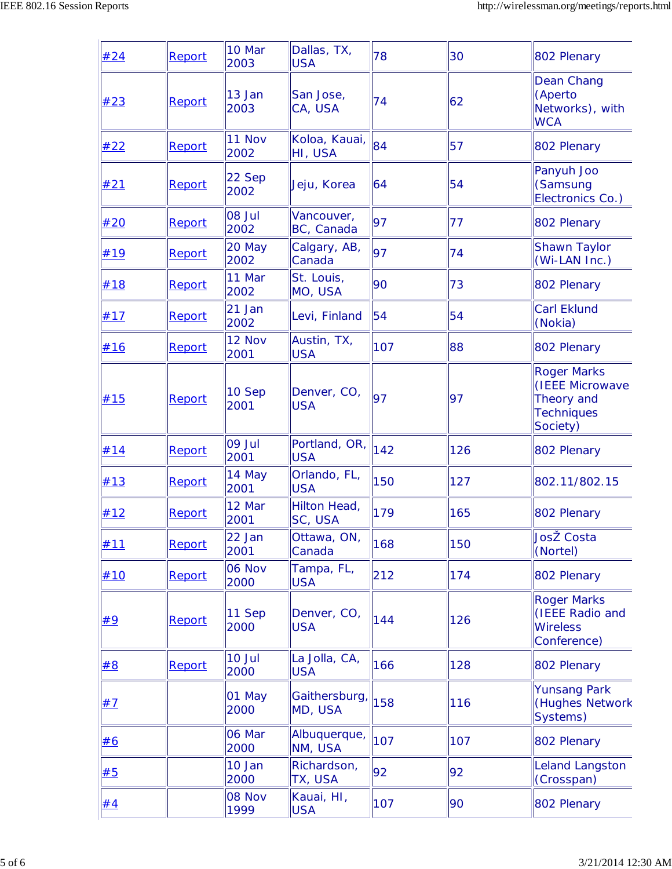| #24 | Report | 10 Mar<br>2003 | Dallas, TX,<br><b>USA</b>   | 78  | 30  | 802 Plenary                                                                          |
|-----|--------|----------------|-----------------------------|-----|-----|--------------------------------------------------------------------------------------|
| #23 | Report | 13 Jan<br>2003 | San Jose,<br>CA, USA        | 74  | 62  | Dean Chang<br>(Aperto<br>Networks), with<br><b>WCA</b>                               |
| #22 | Report | 11 Nov<br>2002 | Koloa, Kauai,<br>HI, USA    | 84  | 57  | 802 Plenary                                                                          |
| #21 | Report | 22 Sep<br>2002 | Jeju, Korea                 | 64  | 54  | Panyuh Joo<br>(Samsung<br>Electronics Co.)                                           |
| #20 | Report | 08 Jul<br>2002 | Vancouver,<br>BC, Canada    | 97  | 77  | 802 Plenary                                                                          |
| #19 | Report | 20 May<br>2002 | Calgary, AB,<br>Canada      | 97  | 74  | <b>Shawn Taylor</b><br>(Wi-LAN Inc.)                                                 |
| #18 | Report | 11 Mar<br>2002 | St. Louis,<br>MO, USA       | 90  | 73  | 802 Plenary                                                                          |
| #17 | Report | 21 Jan<br>2002 | Levi, Finland               | 54  | 54  | <b>Carl Eklund</b><br>(Nokia)                                                        |
| #16 | Report | 12 Nov<br>2001 | Austin, TX,<br><b>USA</b>   | 107 | 88  | 802 Plenary                                                                          |
| #15 | Report | 10 Sep<br>2001 | Denver, CO,<br><b>USA</b>   | 97  | 97  | <b>Roger Marks</b><br>(IEEE Microwave<br>Theory and<br><b>Techniques</b><br>Society) |
| #14 | Report | 09 Jul<br>2001 | Portland, OR,<br><b>USA</b> | 142 | 126 | 802 Plenary                                                                          |
| #13 | Report | 14 May<br>2001 | Orlando, FL,<br><b>USA</b>  | 150 | 127 | 802.11/802.15                                                                        |
| #12 | Report | 12 Mar<br>2001 | Hilton Head,<br>SC, USA     | 179 | 165 | 802 Plenary                                                                          |
| #11 | Report | 22 Jan<br>2001 | Ottawa, ON,<br>Canada       | 168 | 150 | JosŽ Costa<br>(Nortel)                                                               |
| #10 | Report | 06 Nov<br>2000 | Tampa, FL,<br><b>USA</b>    | 212 | 174 | 802 Plenary                                                                          |
| #9  | Report | 11 Sep<br>2000 | Denver, CO,<br><b>USA</b>   | 144 | 126 | <b>Roger Marks</b><br>(IEEE Radio and<br><b>Wireless</b><br>Conference)              |
| #8  | Report | 10 Jul<br>2000 | La Jolla, CA,<br><b>USA</b> | 166 | 128 | 802 Plenary                                                                          |
| #7  |        | 01 May<br>2000 | Gaithersburg,<br>MD, USA    | 158 | 116 | <b>Yunsang Park</b><br>(Hughes Network<br>Systems)                                   |
| #6  |        | 06 Mar<br>2000 | Albuquerque,<br>NM, USA     | 107 | 107 | 802 Plenary                                                                          |
| #5  |        | 10 Jan<br>2000 | Richardson,<br>TX, USA      | 92  | 92  | Leland Langston<br>(Crosspan)                                                        |
| #4  |        | 08 Nov<br>1999 | Kauai, HI,<br><b>USA</b>    | 107 | 90  | 802 Plenary                                                                          |